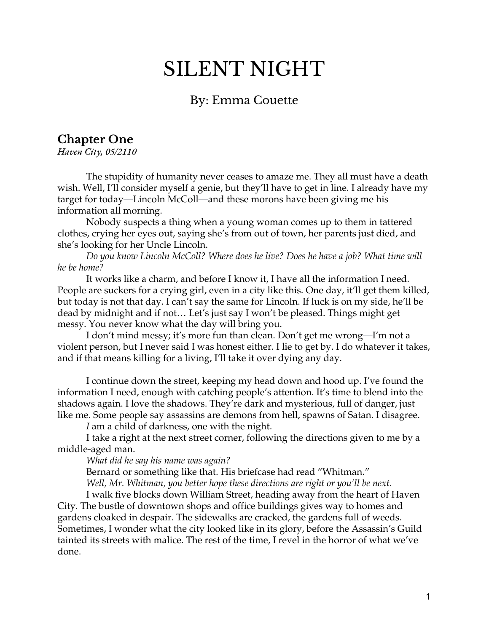# SILENT NIGHT

## By: Emma Couette

# **Chapter One**

*Haven City, 05/2110*

The stupidity of humanity never ceases to amaze me. They all must have a death wish. Well, I'll consider myself a genie, but they'll have to get in line. I already have my target for today—Lincoln McColl—and these morons have been giving me his information all morning.

Nobody suspects a thing when a young woman comes up to them in tattered clothes, crying her eyes out, saying she's from out of town, her parents just died, and she's looking for her Uncle Lincoln.

*Do you know Lincoln McColl? Where does he live? Does he have a job? What time will he be home?*

It works like a charm, and before I know it, I have all the information I need. People are suckers for a crying girl, even in a city like this. One day, it'll get them killed, but today is not that day. I can't say the same for Lincoln. If luck is on my side, he'll be dead by midnight and if not… Let's just say I won't be pleased. Things might get messy. You never know what the day will bring you.

I don't mind messy; it's more fun than clean. Don't get me wrong—I'm not a violent person, but I never said I was honest either. I lie to get by. I do whatever it takes, and if that means killing for a living, I'll take it over dying any day.

I continue down the street, keeping my head down and hood up. I've found the information I need, enough with catching people's attention. It's time to blend into the shadows again. I love the shadows. They're dark and mysterious, full of danger, just like me. Some people say assassins are demons from hell, spawns of Satan. I disagree.

*I* am a child of darkness, one with the night.

I take a right at the next street corner, following the directions given to me by a middle-aged man.

*What did he say his name was again?*

Bernard or something like that. His briefcase had read "Whitman."

*Well, Mr. Whitman, you better hope these directions are right or you'll be next.*

I walk five blocks down William Street, heading away from the heart of Haven City. The bustle of downtown shops and office buildings gives way to homes and gardens cloaked in despair. The sidewalks are cracked, the gardens full of weeds. Sometimes, I wonder what the city looked like in its glory, before the Assassin's Guild tainted its streets with malice. The rest of the time, I revel in the horror of what we've done.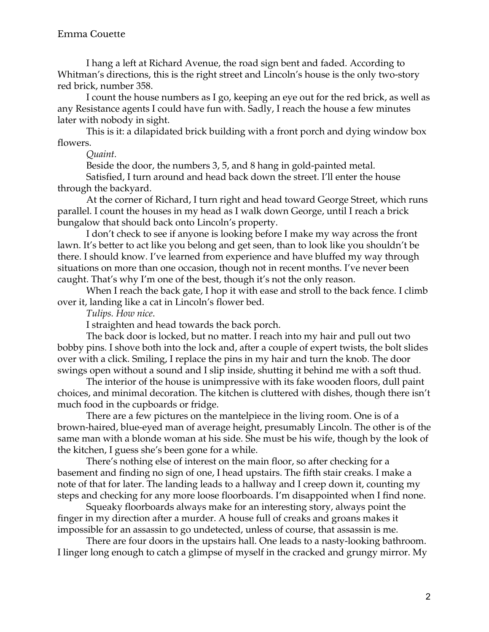I hang a left at Richard Avenue, the road sign bent and faded. According to Whitman's directions, this is the right street and Lincoln's house is the only two-story red brick, number 358.

I count the house numbers as I go, keeping an eye out for the red brick, as well as any Resistance agents I could have fun with. Sadly, I reach the house a few minutes later with nobody in sight.

This is it: a dilapidated brick building with a front porch and dying window box flowers.

*Quaint.*

Beside the door, the numbers 3, 5, and 8 hang in gold-painted metal.

Satisfied, I turn around and head back down the street. I'll enter the house through the backyard.

At the corner of Richard, I turn right and head toward George Street, which runs parallel. I count the houses in my head as I walk down George, until I reach a brick bungalow that should back onto Lincoln's property.

I don't check to see if anyone is looking before I make my way across the front lawn. It's better to act like you belong and get seen, than to look like you shouldn't be there. I should know. I've learned from experience and have bluffed my way through situations on more than one occasion, though not in recent months. I've never been caught. That's why I'm one of the best, though it's not the only reason.

When I reach the back gate, I hop it with ease and stroll to the back fence. I climb over it, landing like a cat in Lincoln's flower bed.

*Tulips. How nice*.

I straighten and head towards the back porch.

The back door is locked, but no matter. I reach into my hair and pull out two bobby pins. I shove both into the lock and, after a couple of expert twists, the bolt slides over with a click. Smiling, I replace the pins in my hair and turn the knob. The door swings open without a sound and I slip inside, shutting it behind me with a soft thud.

The interior of the house is unimpressive with its fake wooden floors, dull paint choices, and minimal decoration. The kitchen is cluttered with dishes, though there isn't much food in the cupboards or fridge.

There are a few pictures on the mantelpiece in the living room. One is of a brown-haired, blue-eyed man of average height, presumably Lincoln. The other is of the same man with a blonde woman at his side. She must be his wife, though by the look of the kitchen, I guess she's been gone for a while.

There's nothing else of interest on the main floor, so after checking for a basement and finding no sign of one, I head upstairs. The fifth stair creaks. I make a note of that for later. The landing leads to a hallway and I creep down it, counting my steps and checking for any more loose floorboards. I'm disappointed when I find none.

Squeaky floorboards always make for an interesting story, always point the finger in my direction after a murder. A house full of creaks and groans makes it impossible for an assassin to go undetected, unless of course, that assassin is me.

There are four doors in the upstairs hall. One leads to a nasty-looking bathroom. I linger long enough to catch a glimpse of myself in the cracked and grungy mirror. My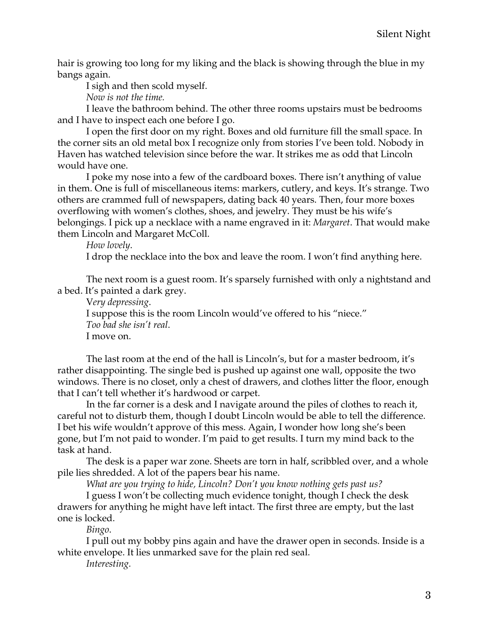hair is growing too long for my liking and the black is showing through the blue in my bangs again.

I sigh and then scold myself.

*Now is not the time.*

I leave the bathroom behind. The other three rooms upstairs must be bedrooms and I have to inspect each one before I go.

I open the first door on my right. Boxes and old furniture fill the small space. In the corner sits an old metal box I recognize only from stories I've been told. Nobody in Haven has watched television since before the war. It strikes me as odd that Lincoln would have one.

I poke my nose into a few of the cardboard boxes. There isn't anything of value in them. One is full of miscellaneous items: markers, cutlery, and keys. It's strange. Two others are crammed full of newspapers, dating back 40 years. Then, four more boxes overflowing with women's clothes, shoes, and jewelry. They must be his wife's belongings. I pick up a necklace with a name engraved in it: *Margaret*. That would make them Lincoln and Margaret McColl.

*How lovely*.

I drop the necklace into the box and leave the room. I won't find anything here.

The next room is a guest room. It's sparsely furnished with only a nightstand and a bed. It's painted a dark grey.

V*ery depressing*. I suppose this is the room Lincoln would've offered to his "niece." *Too bad she isn't real*. I move on.

The last room at the end of the hall is Lincoln's, but for a master bedroom, it's rather disappointing. The single bed is pushed up against one wall, opposite the two windows. There is no closet, only a chest of drawers, and clothes litter the floor, enough that I can't tell whether it's hardwood or carpet.

In the far corner is a desk and I navigate around the piles of clothes to reach it, careful not to disturb them, though I doubt Lincoln would be able to tell the difference. I bet his wife wouldn't approve of this mess. Again, I wonder how long she's been gone, but I'm not paid to wonder. I'm paid to get results. I turn my mind back to the task at hand.

The desk is a paper war zone. Sheets are torn in half, scribbled over, and a whole pile lies shredded. A lot of the papers bear his name.

*What are you trying to hide, Lincoln? Don't you know nothing gets past us?*

I guess I won't be collecting much evidence tonight, though I check the desk drawers for anything he might have left intact. The first three are empty, but the last one is locked.

*Bingo*.

I pull out my bobby pins again and have the drawer open in seconds. Inside is a white envelope. It lies unmarked save for the plain red seal.

*Interesting.*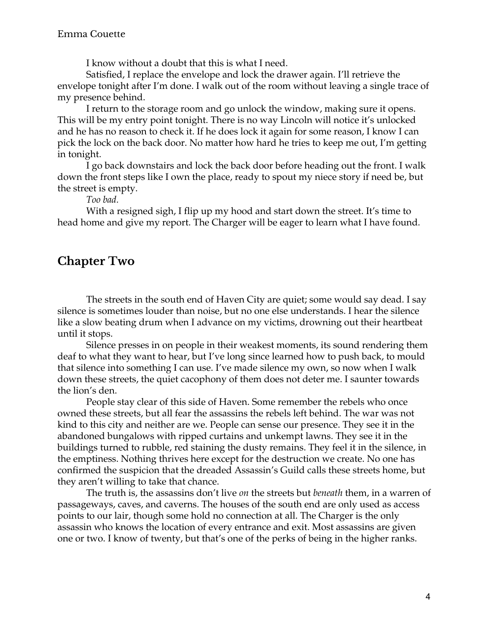I know without a doubt that this is what I need.

Satisfied, I replace the envelope and lock the drawer again. I'll retrieve the envelope tonight after I'm done. I walk out of the room without leaving a single trace of my presence behind.

I return to the storage room and go unlock the window, making sure it opens. This will be my entry point tonight. There is no way Lincoln will notice it's unlocked and he has no reason to check it. If he does lock it again for some reason, I know I can pick the lock on the back door. No matter how hard he tries to keep me out, I'm getting in tonight.

I go back downstairs and lock the back door before heading out the front. I walk down the front steps like I own the place, ready to spout my niece story if need be, but the street is empty.

*Too bad.*

With a resigned sigh, I flip up my hood and start down the street. It's time to head home and give my report. The Charger will be eager to learn what I have found.

## **Chapter Two**

The streets in the south end of Haven City are quiet; some would say dead. I say silence is sometimes louder than noise, but no one else understands. I hear the silence like a slow beating drum when I advance on my victims, drowning out their heartbeat until it stops.

Silence presses in on people in their weakest moments, its sound rendering them deaf to what they want to hear, but I've long since learned how to push back, to mould that silence into something I can use. I've made silence my own, so now when I walk down these streets, the quiet cacophony of them does not deter me. I saunter towards the lion's den.

People stay clear of this side of Haven. Some remember the rebels who once owned these streets, but all fear the assassins the rebels left behind. The war was not kind to this city and neither are we. People can sense our presence. They see it in the abandoned bungalows with ripped curtains and unkempt lawns. They see it in the buildings turned to rubble, red staining the dusty remains. They feel it in the silence, in the emptiness. Nothing thrives here except for the destruction we create. No one has confirmed the suspicion that the dreaded Assassin's Guild calls these streets home, but they aren't willing to take that chance.

The truth is, the assassins don't live *on* the streets but *beneath* them, in a warren of passageways, caves, and caverns. The houses of the south end are only used as access points to our lair, though some hold no connection at all. The Charger is the only assassin who knows the location of every entrance and exit. Most assassins are given one or two. I know of twenty, but that's one of the perks of being in the higher ranks.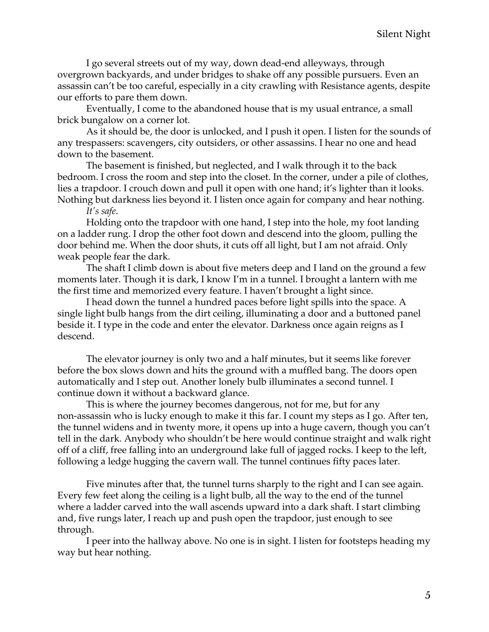I go several streets out of my way, down dead-end alleyways, through overgrown backyards, and under bridges to shake off any possible pursuers. Even an assassin can't be too careful, especially in a city crawling with Resistance agents, despite our efforts to pare them down.

Eventually, I come to the abandoned house that is my usual entrance, a small brick bungalow on a corner lot.

As it should be, the door is unlocked, and I push it open. I listen for the sounds of any trespassers: scavengers, city outsiders, or other assassins. I hear no one and head down to the basement.

The basement is finished, but neglected, and I walk through it to the back bedroom. I cross the room and step into the closet. In the corner, under a pile of clothes, lies a trapdoor. I crouch down and pull it open with one hand; it's lighter than it looks. Nothing but darkness lies beyond it. I listen once again for company and hear nothing.

*It's safe*.

Holding onto the trapdoor with one hand, I step into the hole, my foot landing on a ladder rung. I drop the other foot down and descend into the gloom, pulling the door behind me. When the door shuts, it cuts off all light, but I am not afraid. Only weak people fear the dark.

The shaft I climb down is about five meters deep and I land on the ground a few moments later. Though it is dark, I know I'm in a tunnel. I brought a lantern with me the first time and memorized every feature. I haven't brought a light since.

I head down the tunnel a hundred paces before light spills into the space. A single light bulb hangs from the dirt ceiling, illuminating a door and a buttoned panel beside it. I type in the code and enter the elevator. Darkness once again reigns as I descend.

The elevator journey is only two and a half minutes, but it seems like forever before the box slows down and hits the ground with a muffled bang. The doors open automatically and I step out. Another lonely bulb illuminates a second tunnel. I continue down it without a backward glance.

This is where the journey becomes dangerous, not for me, but for any non-assassin who is lucky enough to make it this far. I count my steps as I go. After ten, the tunnel widens and in twenty more, it opens up into a huge cavern, though you can't tell in the dark. Anybody who shouldn't be here would continue straight and walk right off of a cliff, free falling into an underground lake full of jagged rocks. I keep to the left, following a ledge hugging the cavern wall. The tunnel continues fifty paces later.

Five minutes after that, the tunnel turns sharply to the right and I can see again. Every few feet along the ceiling is a light bulb, all the way to the end of the tunnel where a ladder carved into the wall ascends upward into a dark shaft. I start climbing and, five rungs later, I reach up and push open the trapdoor, just enough to see through.

I peer into the hallway above. No one is in sight. I listen for footsteps heading my way but hear nothing.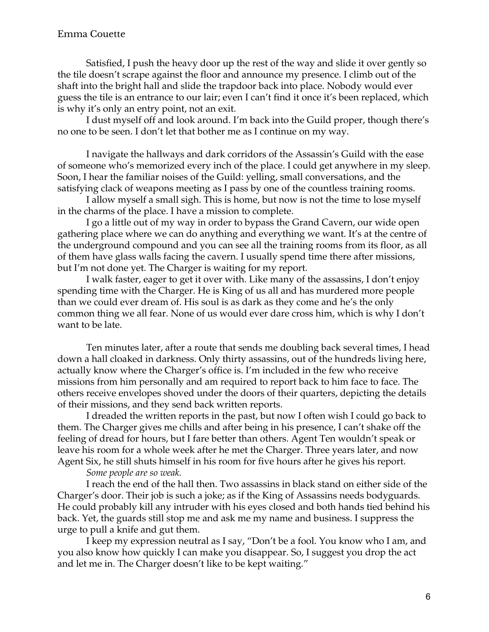#### Emma Couette

Satisfied, I push the heavy door up the rest of the way and slide it over gently so the tile doesn't scrape against the floor and announce my presence. I climb out of the shaft into the bright hall and slide the trapdoor back into place. Nobody would ever guess the tile is an entrance to our lair; even I can't find it once it's been replaced, which is why it's only an entry point, not an exit.

I dust myself off and look around. I'm back into the Guild proper, though there's no one to be seen. I don't let that bother me as I continue on my way.

I navigate the hallways and dark corridors of the Assassin's Guild with the ease of someone who's memorized every inch of the place. I could get anywhere in my sleep. Soon, I hear the familiar noises of the Guild: yelling, small conversations, and the satisfying clack of weapons meeting as I pass by one of the countless training rooms.

I allow myself a small sigh. This is home, but now is not the time to lose myself in the charms of the place. I have a mission to complete.

I go a little out of my way in order to bypass the Grand Cavern, our wide open gathering place where we can do anything and everything we want. It's at the centre of the underground compound and you can see all the training rooms from its floor, as all of them have glass walls facing the cavern. I usually spend time there after missions, but I'm not done yet. The Charger is waiting for my report.

I walk faster, eager to get it over with. Like many of the assassins, I don't enjoy spending time with the Charger. He is King of us all and has murdered more people than we could ever dream of. His soul is as dark as they come and he's the only common thing we all fear. None of us would ever dare cross him, which is why I don't want to be late.

Ten minutes later, after a route that sends me doubling back several times, I head down a hall cloaked in darkness. Only thirty assassins, out of the hundreds living here, actually know where the Charger's office is. I'm included in the few who receive missions from him personally and am required to report back to him face to face. The others receive envelopes shoved under the doors of their quarters, depicting the details of their missions, and they send back written reports.

I dreaded the written reports in the past, but now I often wish I could go back to them. The Charger gives me chills and after being in his presence, I can't shake off the feeling of dread for hours, but I fare better than others. Agent Ten wouldn't speak or leave his room for a whole week after he met the Charger. Three years later, and now Agent Six, he still shuts himself in his room for five hours after he gives his report.

*Some people are so weak.*

I reach the end of the hall then. Two assassins in black stand on either side of the Charger's door. Their job is such a joke; as if the King of Assassins needs bodyguards. He could probably kill any intruder with his eyes closed and both hands tied behind his back. Yet, the guards still stop me and ask me my name and business. I suppress the urge to pull a knife and gut them.

I keep my expression neutral as I say, "Don't be a fool. You know who I am, and you also know how quickly I can make you disappear. So, I suggest you drop the act and let me in. The Charger doesn't like to be kept waiting."